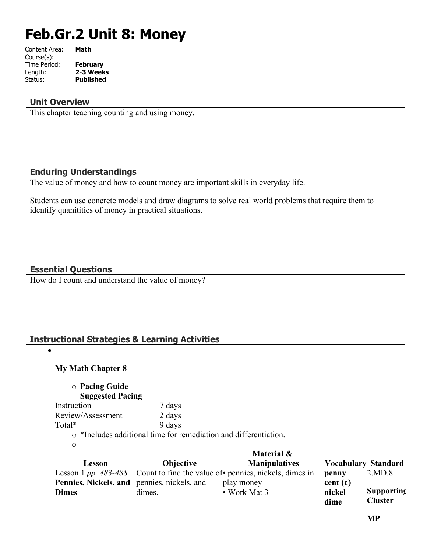# **Feb.Gr.2 Unit 8: Money**

| Content Area: | Math             |
|---------------|------------------|
| Course(s):    |                  |
| Time Period:  | February         |
| Length:       | 2-3 Weeks        |
| Status:       | <b>Published</b> |
|               |                  |

#### **Unit Overview**

This chapter teaching counting and using money.

#### **Enduring Understandings**

The value of money and how to count money are important skills in everyday life.

Students can use concrete models and draw diagrams to solve real world problems that require them to identify quanitities of money in practical situations.

#### **Essential Questions**

 $\bullet$ 

How do I count and understand the value of money?

#### **Instructional Strategies & Learning Activities**

#### **My Math Chapter 8**

o **Pacing Guide Suggested Pacing** Instruction 7 days Review/Assessment 2 days Total\* 9 days o \*Includes additional time for remediation and differentiation.

|                                             |                  | Material &                                                                   |               |                            |
|---------------------------------------------|------------------|------------------------------------------------------------------------------|---------------|----------------------------|
| Lesson                                      | <b>Objective</b> | <b>Manipulatives</b>                                                         |               | <b>Vocabulary Standard</b> |
|                                             |                  | Lesson 1 pp. 483-488 Count to find the value of • pennies, nickels, dimes in | penny         | 2.MD.8                     |
| Pennies, Nickels, and pennies, nickels, and |                  | play money                                                                   | cent $(\phi)$ |                            |
| <b>Dimes</b>                                | dimes.           | $\bullet$ Work Mat 3                                                         | nickel        | <b>Supporting</b>          |
|                                             |                  |                                                                              | dime          | <b>Cluster</b>             |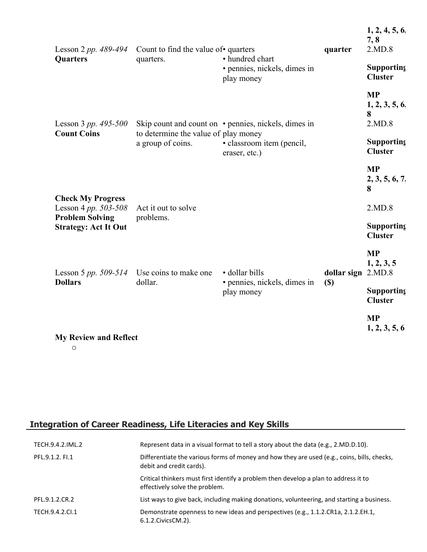| Lesson 2 pp. 489-494<br><b>Quarters</b>                                        | Count to find the value of • quarters<br>quarters.        | • hundred chart                                      | quarter                    | 1, 2, 4, 5, 6.<br>7, 8<br>2.MD.8          |
|--------------------------------------------------------------------------------|-----------------------------------------------------------|------------------------------------------------------|----------------------------|-------------------------------------------|
|                                                                                |                                                           | • pennies, nickels, dimes in<br>play money           |                            | <b>Supporting</b><br><b>Cluster</b>       |
| Lesson 3 <i>pp.</i> $495 - 500$                                                |                                                           | Skip count and count on • pennies, nickels, dimes in |                            | <b>MP</b><br>1, 2, 3, 5, 6<br>8<br>2.MD.8 |
| <b>Count Coins</b>                                                             | to determine the value of play money<br>a group of coins. | · classroom item (pencil,<br>eraser, etc.)           |                            | <b>Supporting</b><br><b>Cluster</b>       |
|                                                                                |                                                           |                                                      |                            | <b>MP</b><br>2, 3, 5, 6, 7,<br>8          |
| <b>Check My Progress</b><br>Lesson 4 pp. $503 - 508$<br><b>Problem Solving</b> | Act it out to solve<br>problems.                          |                                                      |                            | 2.MD.8                                    |
| <b>Strategy: Act It Out</b>                                                    |                                                           |                                                      |                            | Supporting<br><b>Cluster</b>              |
| Lesson 5 <i>pp.</i> 509-514<br><b>Dollars</b>                                  | Use coins to make one<br>dollar.                          | · dollar bills                                       | dollar sign 2.MD.8         | <b>MP</b><br>1, 2, 3, 5                   |
|                                                                                |                                                           | • pennies, nickels, dimes in<br>play money           | $\left( \mathbb{S}\right)$ | Supporting<br><b>Cluster</b>              |
| <b>My Review and Reflect</b>                                                   |                                                           |                                                      |                            | <b>MP</b><br>1, 2, 3, 5, 6                |

o

# **Integration of Career Readiness, Life Literacies and Key Skills**

| TECH.9.4.2.IML.2 | Represent data in a visual format to tell a story about the data (e.g., 2.MD.D.10).                                     |
|------------------|-------------------------------------------------------------------------------------------------------------------------|
| PFL.9.1.2. FI.1  | Differentiate the various forms of money and how they are used (e.g., coins, bills, checks,<br>debit and credit cards). |
|                  | Critical thinkers must first identify a problem then develop a plan to address it to<br>effectively solve the problem.  |
| PFL.9.1.2.CR.2   | List ways to give back, including making donations, volunteering, and starting a business.                              |
| TECH.9.4.2.CI.1  | Demonstrate openness to new ideas and perspectives (e.g., 1.1.2.CR1a, 2.1.2.EH.1,<br>6.1.2. Civics CM. 2).              |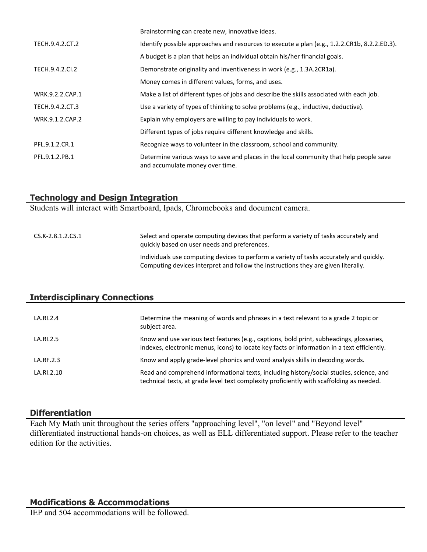|                 | Brainstorming can create new, innovative ideas.                                                                           |
|-----------------|---------------------------------------------------------------------------------------------------------------------------|
| TECH.9.4.2.CT.2 | Identify possible approaches and resources to execute a plan (e.g., 1.2.2.CR1b, 8.2.2.ED.3).                              |
|                 | A budget is a plan that helps an individual obtain his/her financial goals.                                               |
| TECH.9.4.2.CI.2 | Demonstrate originality and inventiveness in work (e.g., 1.3A.2CR1a).                                                     |
|                 | Money comes in different values, forms, and uses.                                                                         |
| WRK.9.2.2.CAP.1 | Make a list of different types of jobs and describe the skills associated with each job.                                  |
| TECH.9.4.2.CT.3 | Use a variety of types of thinking to solve problems (e.g., inductive, deductive).                                        |
| WRK.9.1.2.CAP.2 | Explain why employers are willing to pay individuals to work.                                                             |
|                 | Different types of jobs require different knowledge and skills.                                                           |
| PFL.9.1.2.CR.1  | Recognize ways to volunteer in the classroom, school and community.                                                       |
| PFL.9.1.2.PB.1  | Determine various ways to save and places in the local community that help people save<br>and accumulate money over time. |

#### **Technology and Design Integration**

Students will interact with Smartboard, Ipads, Chromebooks and document camera.

#### CS.K-2.8.1.2.CS.1 Select and operate computing devices that perform a variety of tasks accurately and quickly based on user needs and preferences. Individuals use computing devices to perform a variety of tasks accurately and quickly. Computing devices interpret and follow the instructions they are given literally.

## **Interdisciplinary Connections**

| LA.RI.2.4  | Determine the meaning of words and phrases in a text relevant to a grade 2 topic or<br>subject area.                                                                                    |
|------------|-----------------------------------------------------------------------------------------------------------------------------------------------------------------------------------------|
| LA.RI.2.5  | Know and use various text features (e.g., captions, bold print, subheadings, glossaries,<br>indexes, electronic menus, icons) to locate key facts or information in a text efficiently. |
| LA.RF.2.3  | Know and apply grade-level phonics and word analysis skills in decoding words.                                                                                                          |
| LA.RI.2.10 | Read and comprehend informational texts, including history/social studies, science, and<br>technical texts, at grade level text complexity proficiently with scaffolding as needed.     |

#### **Differentiation**

Each My Math unit throughout the series offers "approaching level", "on level" and "Beyond level" differentiated instructional hands-on choices, as well as ELL differentiated support. Please refer to the teacher edition for the activities.

#### **Modifications & Accommodations**

IEP and 504 accommodations will be followed.